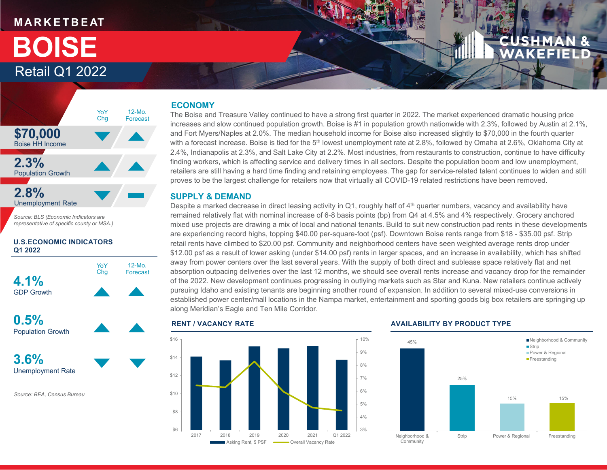# **M A R K E T B E AT**

# Retail Q1 2022**BOISE**



*Source: BLS (Economic Indicators are representative of specific county or MSA.)*

#### **U.S.ECONOMIC INDICATORS Q1 2022**



**0.5%**Population Growth

**3.6%**Unemployment Rate

*Source: BEA, Census Bureau*

## **ECONOMY**

The Boise and Treasure Valley continued to have a strong first quarter in 2022. The market experienced dramatic housing price increases and slow continued population growth. Boise is #1 in population growth nationwide with 2.3%, followed by Austin at 2.1%, and Fort Myers/Naples at 2.0%. The median household income for Boise also increased slightly to \$70,000 in the fourth quarter with a forecast increase. Boise is tied for the 5<sup>th</sup> lowest unemployment rate at 2.8%, followed by Omaha at 2.6%, Oklahoma City at 2.4%, Indianapolis at 2.3%, and Salt Lake City at 2.2%. Most industries, from restaurants to construction, continue to have difficulty finding workers, which is affecting service and delivery times in all sectors. Despite the population boom and low unemployment, retailers are still having a hard time finding and retaining employees. The gap for service-related talent continues to widen and still proves to be the largest challenge for retailers now that virtually all COVID-19 related restrictions have been removed.

### **SUPPLY & DEMAND**

Despite a marked decrease in direct leasing activity in Q1, roughly half of  $4<sup>th</sup>$  quarter numbers, vacancy and availability have remained relatively flat with nominal increase of 6-8 basis points (bp) from Q4 at 4.5% and 4% respectively. Grocery anchored mixed use projects are drawing a mix of local and national tenants. Build to suit new construction pad rents in these developments are experiencing record highs, topping \$40.00 per-square-foot (psf). Downtown Boise rents range from \$18 - \$35.00 psf. Strip retail rents have climbed to \$20.00 psf. Community and neighborhood centers have seen weighted average rents drop under \$12.00 psf as a result of lower asking (under \$14.00 psf) rents in larger spaces, and an increase in availability, which has shifted away from power centers over the last several years. With the supply of both direct and sublease space relatively flat and net absorption outpacing deliveries over the last 12 months, we should see overall rents increase and vacancy drop for the remainder of the 2022. New development continues progressing in outlying markets such as Star and Kuna. New retailers continue actively pursuing Idaho and existing tenants are beginning another round of expansion. In addition to several mixed-use conversions in established power center/mall locations in the Nampa market, entertainment and sporting goods big box retailers are springing up along Meridian's Eagle and Ten Mile Corridor.



#### **AVAILABILITY BY PRODUCT TYPE**

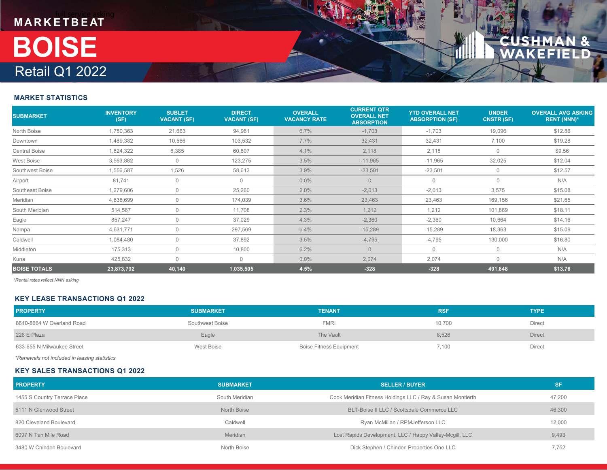

#### **MARKET STATISTICS**

| <b>SUBMARKET</b>     | <b>INVENTORY</b><br>(SF) | <b>SUBLET</b><br><b>VACANT (SF)</b> | <b>DIRECT</b><br><b>VACANT (SF)</b> | <b>OVERALL</b><br><b>VACANCY RATE</b> | <b>CURRENT QTR</b><br><b>OVERALL NET</b><br><b>ABSORPTION</b> | <b>YTD OVERALL NET</b><br><b>ABSORPTION (SF)</b> | <b>UNDER</b><br><b>CNSTR (SF)</b> | <b>OVERALL AVG ASKING</b><br><b>RENT (NNN)*</b> |
|----------------------|--------------------------|-------------------------------------|-------------------------------------|---------------------------------------|---------------------------------------------------------------|--------------------------------------------------|-----------------------------------|-------------------------------------------------|
| North Boise          | 1,750,363                | 21,663                              | 94,981                              | 6.7%                                  | $-1,703$                                                      | $-1,703$                                         | 19,096                            | \$12.86                                         |
| Downtown             | 1,489,382                | 10,566                              | 103,532                             | 7.7%                                  | 32,431                                                        | 32,431                                           | 7,100                             | \$19.28                                         |
| <b>Central Boise</b> | 1,624,322                | 6,385                               | 60,807                              | 4.1%                                  | 2,118                                                         | 2,118                                            | $\overline{0}$                    | \$9.56                                          |
| West Boise           | 3,563,882                | $\mathbf{0}$                        | 123,275                             | 3.5%                                  | $-11,965$                                                     | $-11,965$                                        | 32,025                            | \$12.04                                         |
| Southwest Boise      | 1,556,587                | 1,526                               | 58,613                              | 3.9%                                  | $-23,501$                                                     | $-23,501$                                        | $\overline{0}$                    | \$12.57                                         |
| Airport              | 81,741                   | $\mathbf 0$                         | $\mathbf{0}$                        | $0.0\%$                               | $\overline{0}$                                                | 0                                                | $\mathbf 0$                       | N/A                                             |
| Southeast Boise      | 1,279,606                | $\mathbf{0}$                        | 25,260                              | 2.0%                                  | $-2,013$                                                      | $-2,013$                                         | 3,575                             | \$15.08                                         |
| Meridian             | 4,838,699                | $\Omega$                            | 174,039                             | 3.6%                                  | 23,463                                                        | 23,463                                           | 169,156                           | \$21.65                                         |
| South Meridian       | 514,567                  | $\Omega$                            | 11,708                              | 2.3%                                  | 1,212                                                         | 1,212                                            | 101,869                           | \$18.11                                         |
| Eagle                | 857,247                  | $\bigcap$                           | 37,029                              | 4.3%                                  | $-2,360$                                                      | $-2,360$                                         | 10,664                            | \$14.16                                         |
| Nampa                | 4,631,771                | $\mathbf 0$                         | 297,569                             | 6.4%                                  | $-15,289$                                                     | $-15,289$                                        | 18,363                            | \$15.09                                         |
| Caldwell             | 1,084,480                | $\mathbf{0}$                        | 37,892                              | 3.5%                                  | $-4,795$                                                      | $-4,795$                                         | 130,000                           | \$16.80                                         |
| Middleton            | 175,313                  | $\Omega$                            | 10,800                              | 6.2%                                  | $\Omega$                                                      | $\Omega$                                         | $\overline{0}$                    | N/A                                             |
| Kuna                 | 425,832                  | $\bigcap$                           | $\Omega$                            | $0.0\%$                               | 2,074                                                         | 2,074                                            | $\Omega$                          | N/A                                             |
| <b>BOISE TOTALS</b>  | 23,873,792               | 40,140                              | 1,035,505                           | 4.5%                                  | $-328$                                                        | $-328$                                           | 491,848                           | \$13.76                                         |

*\*Rental rates reflect NNN asking*

#### **KEY LEASE TRANSACTIONS Q1 2022**

| <b>PROPERTY</b>            | <b>SUBMARKET</b> | <b>TENANT</b>                  | <b>RSF</b> | <b>TYPE</b>   |
|----------------------------|------------------|--------------------------------|------------|---------------|
| 8610-8664 W Overland Road  | Southwest Boise  | <b>FMRI</b>                    | 10,700     | Direct        |
| 228 E Plaza                | Eagle            | The Vault                      | 8,526      | <b>Direct</b> |
| 633-655 N Milwaukee Street | West Boise       | <b>Boise Fitness Equipment</b> | 7,100      | Direct        |

*\*Renewals not included in leasing statistics*

#### **KEY SALES TRANSACTIONS Q1 2022**

| <b>PROPERTY</b>              | <b>SUBMARKET</b> | <b>SELLER / BUYER</b>                                      | <b>SF</b> |
|------------------------------|------------------|------------------------------------------------------------|-----------|
| 1455 S Country Terrace Place | South Meridian   | Cook Meridian Fitness Holdings LLC / Ray & Susan Montierth | 47,200    |
| 5111 N Glenwood Street       | North Boise      | BLT-Boise II LLC / Scottsdale Commerce LLC                 | 46,300    |
| 820 Cleveland Boulevard      | Caldwell         | Ryan McMillan / RPMJefferson LLC                           | 12,000    |
| 6097 N Ten Mile Road         | Meridian         | Lost Rapids Development, LLC / Happy Valley-Mcgill, LLC    | 9,493     |
| 3480 W Chinden Boulevard     | North Boise      | Dick Stephen / Chinden Properties One LLC                  | 7,752     |